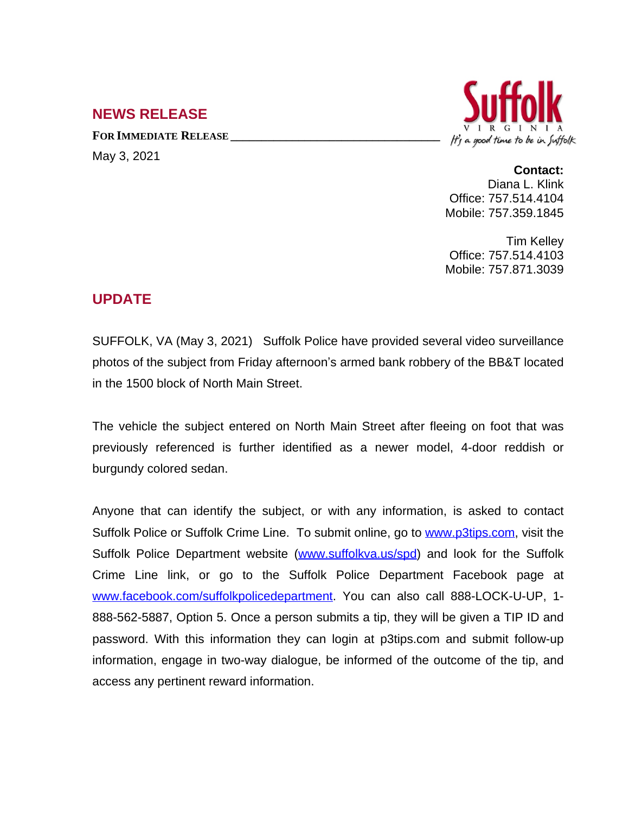## **NEWS RELEASE**

**FOR IMMEDIATE RELEASE \_\_\_\_\_\_\_\_\_\_\_\_\_\_\_\_\_\_\_\_\_\_\_\_\_\_\_\_\_\_\_\_\_\_** May 3, 2021



## **Contact:**

Diana L. Klink Office: 757.514.4104 Mobile: 757.359.1845

Tim Kelley Office: 757.514.4103 Mobile: 757.871.3039

## **UPDATE**

SUFFOLK, VA (May 3, 2021) Suffolk Police have provided several video surveillance photos of the subject from Friday afternoon's armed bank robbery of the BB&T located in the 1500 block of North Main Street.

The vehicle the subject entered on North Main Street after fleeing on foot that was previously referenced is further identified as a newer model, 4-door reddish or burgundy colored sedan.

Anyone that can identify the subject, or with any information, is asked to contact Suffolk Police or Suffolk Crime Line. To submit online, go to [www.p3tips.com](http://www.p3tips.com), visit the Suffolk Police Department website ([www.suffolkva.us/spd\)](http://www.suffolkva.us/spd) and look for the Suffolk Crime Line link, or go to the Suffolk Police Department Facebook page at [www.facebook.com/suffolkpolicedepartment](http://www.facebook.com/suffolkpolicedepartment). You can also call 888-LOCK-U-UP, 1-888-562-5887, Option 5. Once a person submits a tip, they will be given a TIP ID and password. With this information they can login at p3tips.com and submit follow-up information, engage in two-way dialogue, be informed of the outcome of the tip, and access any pertinent reward information.